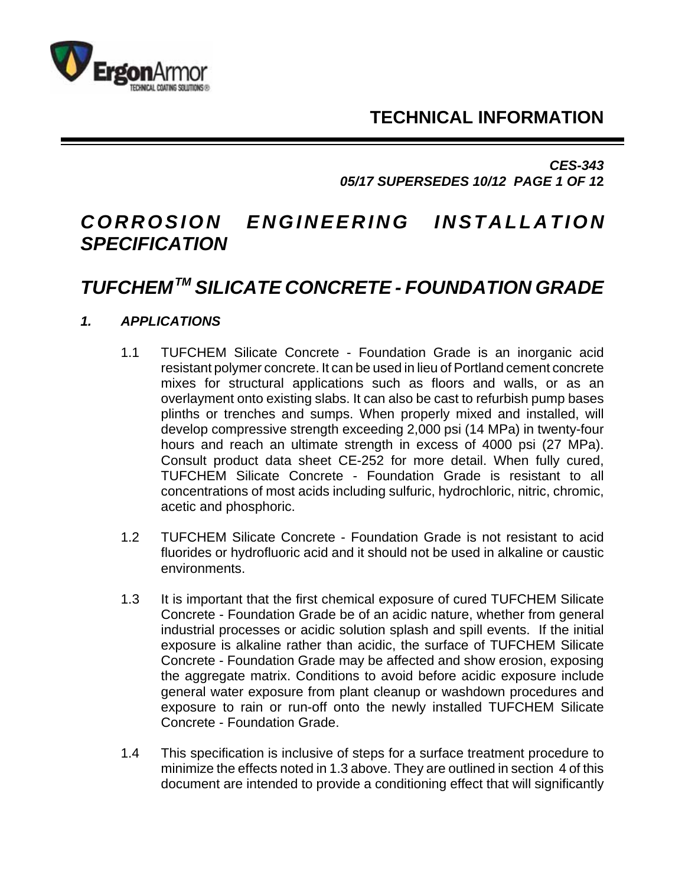**TECHNICAL INFORMATION**



*CES-343 05/17 SUPERSEDES 10/12 PAGE 1 OF 1***2**

# *CORROSION ENGINEERING INSTALLATION SPECIFICATION*

# *TUFCHEM TM SILICATE CONCRETE - FOUNDATION GRADE*

# *1. APPLICATIONS*

- 1.1 TUFCHEM Silicate Concrete Foundation Grade is an inorganic acid resistant polymer concrete. It can be used in lieu of Portland cement concrete mixes for structural applications such as floors and walls, or as an overlayment onto existing slabs. It can also be cast to refurbish pump bases plinths or trenches and sumps. When properly mixed and installed, will develop compressive strength exceeding 2,000 psi (14 MPa) in twenty-four hours and reach an ultimate strength in excess of 4000 psi (27 MPa). Consult product data sheet CE-252 for more detail. When fully cured, TUFCHEM Silicate Concrete - Foundation Grade is resistant to all concentrations of most acids including sulfuric, hydrochloric, nitric, chromic, acetic and phosphoric.
- 1.2 TUFCHEM Silicate Concrete Foundation Grade is not resistant to acid fluorides or hydrofluoric acid and it should not be used in alkaline or caustic environments.
- 1.3 It is important that the first chemical exposure of cured TUFCHEM Silicate Concrete - Foundation Grade be of an acidic nature, whether from general industrial processes or acidic solution splash and spill events. If the initial exposure is alkaline rather than acidic, the surface of TUFCHEM Silicate Concrete - Foundation Grade may be affected and show erosion, exposing the aggregate matrix. Conditions to avoid before acidic exposure include general water exposure from plant cleanup or washdown procedures and exposure to rain or run-off onto the newly installed TUFCHEM Silicate Concrete - Foundation Grade.
- 1.4 This specification is inclusive of steps for a surface treatment procedure to minimize the effects noted in 1.3 above. They are outlined in section 4 of this document are intended to provide a conditioning effect that will significantly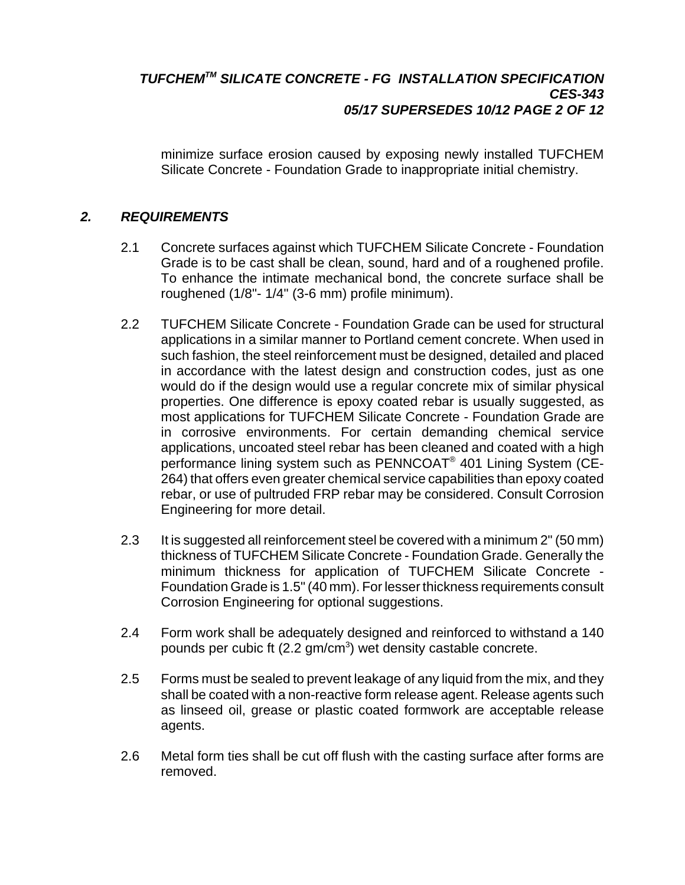## *TUFCHEMTM SILICATE CONCRETE - FG INSTALLATION SPECIFICATION CES-343 05/17 SUPERSEDES 10/12 PAGE 2 OF 12*

minimize surface erosion caused by exposing newly installed TUFCHEM Silicate Concrete - Foundation Grade to inappropriate initial chemistry.

## *2. REQUIREMENTS*

- 2.1 Concrete surfaces against which TUFCHEM Silicate Concrete Foundation Grade is to be cast shall be clean, sound, hard and of a roughened profile. To enhance the intimate mechanical bond, the concrete surface shall be roughened (1/8"- 1/4" (3-6 mm) profile minimum).
- 2.2 TUFCHEM Silicate Concrete Foundation Grade can be used for structural applications in a similar manner to Portland cement concrete. When used in such fashion, the steel reinforcement must be designed, detailed and placed in accordance with the latest design and construction codes, just as one would do if the design would use a regular concrete mix of similar physical properties. One difference is epoxy coated rebar is usually suggested, as most applications for TUFCHEM Silicate Concrete - Foundation Grade are in corrosive environments. For certain demanding chemical service applications, uncoated steel rebar has been cleaned and coated with a high performance lining system such as PENNCOAT® 401 Lining System (CE-264) that offers even greater chemical service capabilities than epoxy coated rebar, or use of pultruded FRP rebar may be considered. Consult Corrosion Engineering for more detail.
- 2.3 It is suggested all reinforcement steel be covered with a minimum 2" (50 mm) thickness of TUFCHEM Silicate Concrete - Foundation Grade. Generally the minimum thickness for application of TUFCHEM Silicate Concrete - Foundation Grade is 1.5" (40 mm). For lesser thickness requirements consult Corrosion Engineering for optional suggestions.
- 2.4 Form work shall be adequately designed and reinforced to withstand a 140 pounds per cubic ft (2.2 gm/cm<sup>3</sup>) wet density castable concrete.
- 2.5 Forms must be sealed to prevent leakage of any liquid from the mix, and they shall be coated with a non-reactive form release agent. Release agents such as linseed oil, grease or plastic coated formwork are acceptable release agents.
- 2.6 Metal form ties shall be cut off flush with the casting surface after forms are removed.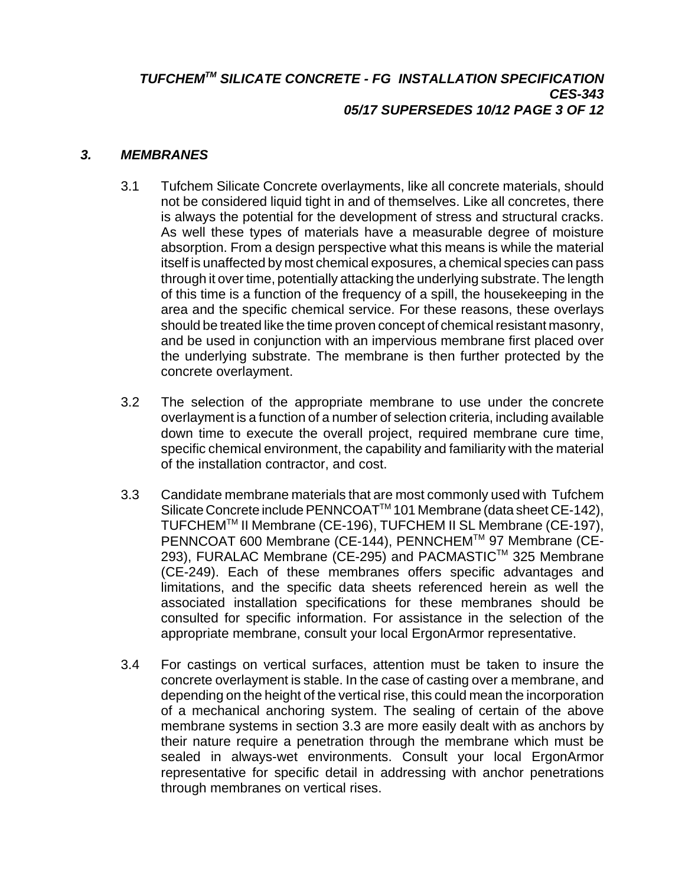# *TUFCHEMTM SILICATE CONCRETE - FG INSTALLATION SPECIFICATION CES-343 05/17 SUPERSEDES 10/12 PAGE 3 OF 12*

#### *3. MEMBRANES*

- 3.1 Tufchem Silicate Concrete overlayments, like all concrete materials, should not be considered liquid tight in and of themselves. Like all concretes, there is always the potential for the development of stress and structural cracks. As well these types of materials have a measurable degree of moisture absorption. From a design perspective what this means is while the material itself is unaffected by most chemical exposures, a chemical species can pass through it over time, potentially attacking the underlying substrate. The length of this time is a function of the frequency of a spill, the housekeeping in the area and the specific chemical service. For these reasons, these overlays should be treated like the time proven concept of chemical resistant masonry, and be used in conjunction with an impervious membrane first placed over the underlying substrate. The membrane is then further protected by the concrete overlayment.
- 3.2 The selection of the appropriate membrane to use under the concrete overlayment is a function of a number of selection criteria, including available down time to execute the overall project, required membrane cure time, specific chemical environment, the capability and familiarity with the material of the installation contractor, and cost.
- 3.3 Candidate membrane materials that are most commonly used with Tufchem Silicate Concrete include PENNCOAT™ 101 Membrane (data sheet CE-142), TUFCHEMTM II Membrane (CE-196), TUFCHEM II SL Membrane (CE-197), PENNCOAT 600 Membrane (CE-144), PENNCHEM™ 97 Membrane (CE-293), FURALAC Membrane (CE-295) and PACMASTIC™ 325 Membrane (CE-249). Each of these membranes offers specific advantages and limitations, and the specific data sheets referenced herein as well the associated installation specifications for these membranes should be consulted for specific information. For assistance in the selection of the appropriate membrane, consult your local ErgonArmor representative.
- 3.4 For castings on vertical surfaces, attention must be taken to insure the concrete overlayment is stable. In the case of casting over a membrane, and depending on the height of the vertical rise, this could mean the incorporation of a mechanical anchoring system. The sealing of certain of the above membrane systems in section 3.3 are more easily dealt with as anchors by their nature require a penetration through the membrane which must be sealed in always-wet environments. Consult your local ErgonArmor representative for specific detail in addressing with anchor penetrations through membranes on vertical rises.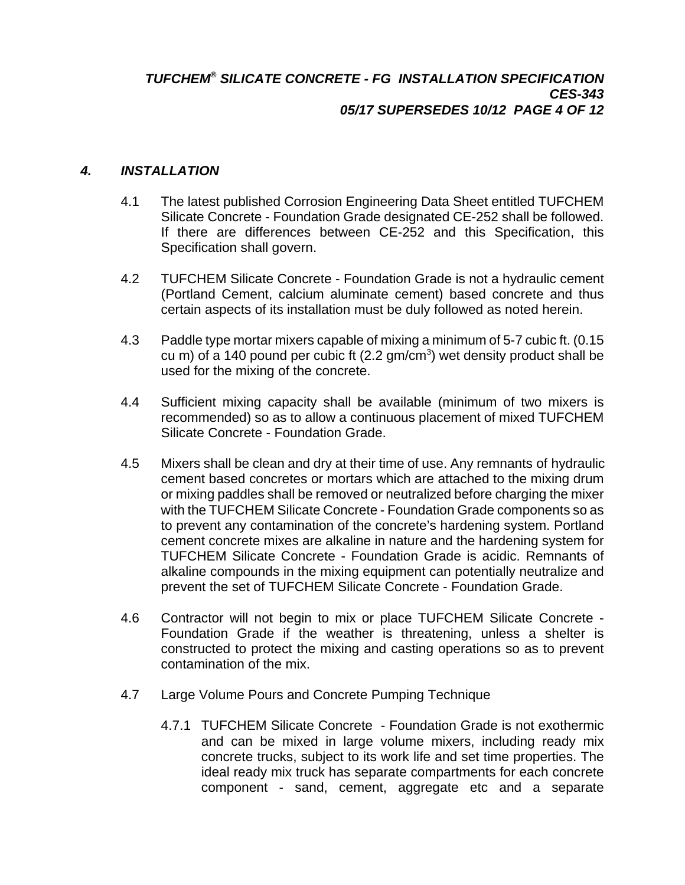## *TUFCHEM® SILICATE CONCRETE - FG INSTALLATION SPECIFICATION CES-343 05/17 SUPERSEDES 10/12 PAGE 4 OF 12*

#### *4. INSTALLATION*

- 4.1 The latest published Corrosion Engineering Data Sheet entitled TUFCHEM Silicate Concrete - Foundation Grade designated CE-252 shall be followed. If there are differences between CE-252 and this Specification, this Specification shall govern.
- 4.2 TUFCHEM Silicate Concrete Foundation Grade is not a hydraulic cement (Portland Cement, calcium aluminate cement) based concrete and thus certain aspects of its installation must be duly followed as noted herein.
- 4.3 Paddle type mortar mixers capable of mixing a minimum of 5-7 cubic ft. (0.15 cu m) of a 140 pound per cubic ft  $(2.2 \text{ gm/cm}^3)$  wet density product shall be used for the mixing of the concrete.
- 4.4 Sufficient mixing capacity shall be available (minimum of two mixers is recommended) so as to allow a continuous placement of mixed TUFCHEM Silicate Concrete - Foundation Grade.
- 4.5 Mixers shall be clean and dry at their time of use. Any remnants of hydraulic cement based concretes or mortars which are attached to the mixing drum or mixing paddles shall be removed or neutralized before charging the mixer with the TUFCHEM Silicate Concrete - Foundation Grade components so as to prevent any contamination of the concrete's hardening system. Portland cement concrete mixes are alkaline in nature and the hardening system for TUFCHEM Silicate Concrete - Foundation Grade is acidic. Remnants of alkaline compounds in the mixing equipment can potentially neutralize and prevent the set of TUFCHEM Silicate Concrete - Foundation Grade.
- 4.6 Contractor will not begin to mix or place TUFCHEM Silicate Concrete Foundation Grade if the weather is threatening, unless a shelter is constructed to protect the mixing and casting operations so as to prevent contamination of the mix.
- 4.7 Large Volume Pours and Concrete Pumping Technique
	- 4.7.1 TUFCHEM Silicate Concrete Foundation Grade is not exothermic and can be mixed in large volume mixers, including ready mix concrete trucks, subject to its work life and set time properties. The ideal ready mix truck has separate compartments for each concrete component - sand, cement, aggregate etc and a separate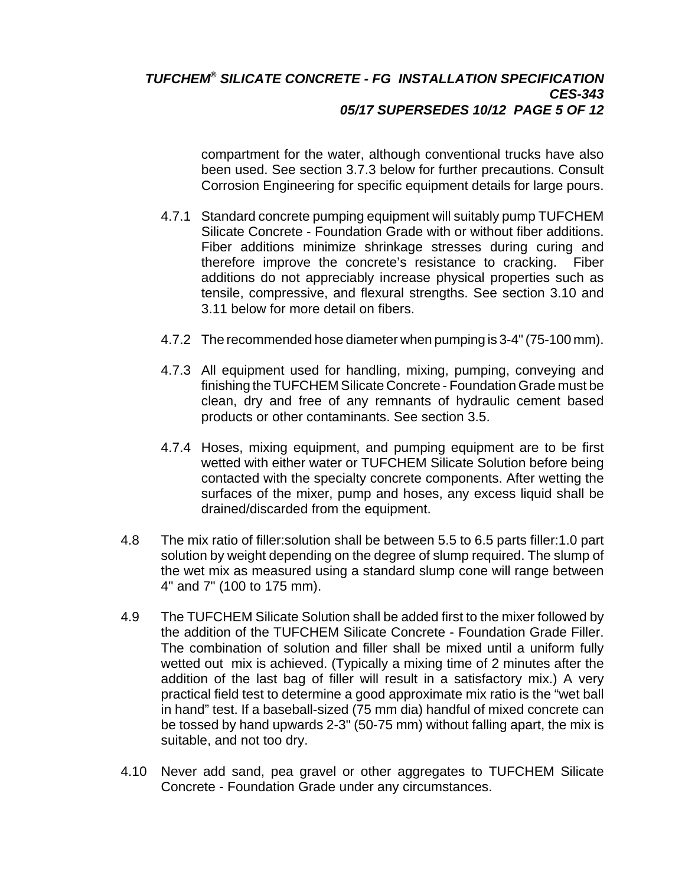## *TUFCHEM® SILICATE CONCRETE - FG INSTALLATION SPECIFICATION CES-343 05/17 SUPERSEDES 10/12 PAGE 5 OF 12*

compartment for the water, although conventional trucks have also been used. See section 3.7.3 below for further precautions. Consult Corrosion Engineering for specific equipment details for large pours.

- 4.7.1 Standard concrete pumping equipment will suitably pump TUFCHEM Silicate Concrete - Foundation Grade with or without fiber additions. Fiber additions minimize shrinkage stresses during curing and therefore improve the concrete's resistance to cracking. Fiber additions do not appreciably increase physical properties such as tensile, compressive, and flexural strengths. See section 3.10 and 3.11 below for more detail on fibers.
- 4.7.2 The recommended hose diameter when pumping is 3-4" (75-100 mm).
- 4.7.3 All equipment used for handling, mixing, pumping, conveying and finishing the TUFCHEM Silicate Concrete - Foundation Grade must be clean, dry and free of any remnants of hydraulic cement based products or other contaminants. See section 3.5.
- 4.7.4 Hoses, mixing equipment, and pumping equipment are to be first wetted with either water or TUFCHEM Silicate Solution before being contacted with the specialty concrete components. After wetting the surfaces of the mixer, pump and hoses, any excess liquid shall be drained/discarded from the equipment.
- 4.8 The mix ratio of filler:solution shall be between 5.5 to 6.5 parts filler:1.0 part solution by weight depending on the degree of slump required. The slump of the wet mix as measured using a standard slump cone will range between 4" and 7" (100 to 175 mm).
- 4.9 The TUFCHEM Silicate Solution shall be added first to the mixer followed by the addition of the TUFCHEM Silicate Concrete - Foundation Grade Filler. The combination of solution and filler shall be mixed until a uniform fully wetted out mix is achieved. (Typically a mixing time of 2 minutes after the addition of the last bag of filler will result in a satisfactory mix.) A very practical field test to determine a good approximate mix ratio is the "wet ball in hand" test. If a baseball-sized (75 mm dia) handful of mixed concrete can be tossed by hand upwards 2-3" (50-75 mm) without falling apart, the mix is suitable, and not too dry.
- 4.10 Never add sand, pea gravel or other aggregates to TUFCHEM Silicate Concrete - Foundation Grade under any circumstances.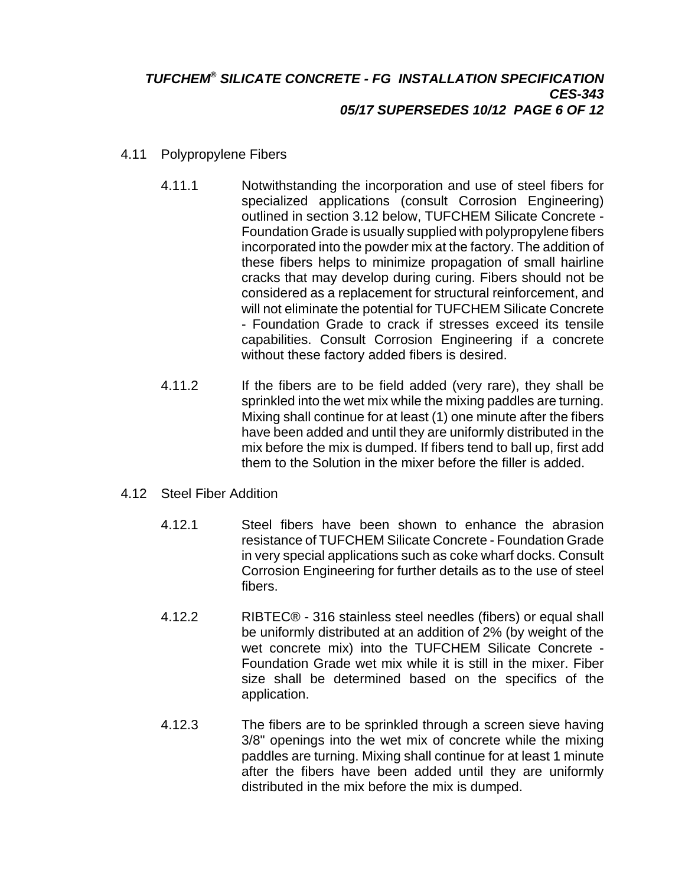## *TUFCHEM® SILICATE CONCRETE - FG INSTALLATION SPECIFICATION CES-343 05/17 SUPERSEDES 10/12 PAGE 6 OF 12*

- 4.11 Polypropylene Fibers
	- 4.11.1 Notwithstanding the incorporation and use of steel fibers for specialized applications (consult Corrosion Engineering) outlined in section 3.12 below, TUFCHEM Silicate Concrete - Foundation Grade is usually supplied with polypropylene fibers incorporated into the powder mix at the factory. The addition of these fibers helps to minimize propagation of small hairline cracks that may develop during curing. Fibers should not be considered as a replacement for structural reinforcement, and will not eliminate the potential for TUFCHEM Silicate Concrete - Foundation Grade to crack if stresses exceed its tensile capabilities. Consult Corrosion Engineering if a concrete without these factory added fibers is desired.
	- 4.11.2 If the fibers are to be field added (very rare), they shall be sprinkled into the wet mix while the mixing paddles are turning. Mixing shall continue for at least (1) one minute after the fibers have been added and until they are uniformly distributed in the mix before the mix is dumped. If fibers tend to ball up, first add them to the Solution in the mixer before the filler is added.

#### 4.12 Steel Fiber Addition

- 4.12.1 Steel fibers have been shown to enhance the abrasion resistance of TUFCHEM Silicate Concrete - Foundation Grade in very special applications such as coke wharf docks. Consult Corrosion Engineering for further details as to the use of steel fibers.
- 4.12.2 RIBTEC® 316 stainless steel needles (fibers) or equal shall be uniformly distributed at an addition of 2% (by weight of the wet concrete mix) into the TUFCHEM Silicate Concrete - Foundation Grade wet mix while it is still in the mixer. Fiber size shall be determined based on the specifics of the application.
- 4.12.3 The fibers are to be sprinkled through a screen sieve having 3/8" openings into the wet mix of concrete while the mixing paddles are turning. Mixing shall continue for at least 1 minute after the fibers have been added until they are uniformly distributed in the mix before the mix is dumped.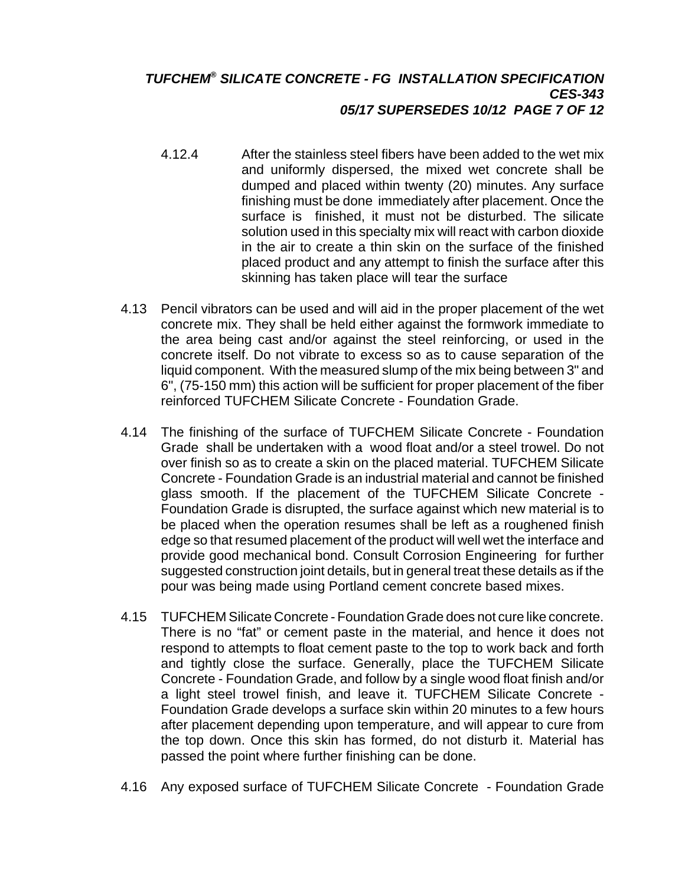## *TUFCHEM® SILICATE CONCRETE - FG INSTALLATION SPECIFICATION CES-343 05/17 SUPERSEDES 10/12 PAGE 7 OF 12*

- 4.12.4 After the stainless steel fibers have been added to the wet mix and uniformly dispersed, the mixed wet concrete shall be dumped and placed within twenty (20) minutes. Any surface finishing must be done immediately after placement. Once the surface is finished, it must not be disturbed. The silicate solution used in this specialty mix will react with carbon dioxide in the air to create a thin skin on the surface of the finished placed product and any attempt to finish the surface after this skinning has taken place will tear the surface
- 4.13 Pencil vibrators can be used and will aid in the proper placement of the wet concrete mix. They shall be held either against the formwork immediate to the area being cast and/or against the steel reinforcing, or used in the concrete itself. Do not vibrate to excess so as to cause separation of the liquid component. With the measured slump of the mix being between 3" and 6", (75-150 mm) this action will be sufficient for proper placement of the fiber reinforced TUFCHEM Silicate Concrete - Foundation Grade.
- 4.14 The finishing of the surface of TUFCHEM Silicate Concrete Foundation Grade shall be undertaken with a wood float and/or a steel trowel. Do not over finish so as to create a skin on the placed material. TUFCHEM Silicate Concrete - Foundation Grade is an industrial material and cannot be finished glass smooth. If the placement of the TUFCHEM Silicate Concrete - Foundation Grade is disrupted, the surface against which new material is to be placed when the operation resumes shall be left as a roughened finish edge so that resumed placement of the product will well wet the interface and provide good mechanical bond. Consult Corrosion Engineering for further suggested construction joint details, but in general treat these details as if the pour was being made using Portland cement concrete based mixes.
- 4.15 TUFCHEM Silicate Concrete Foundation Grade does not cure like concrete. There is no "fat" or cement paste in the material, and hence it does not respond to attempts to float cement paste to the top to work back and forth and tightly close the surface. Generally, place the TUFCHEM Silicate Concrete - Foundation Grade, and follow by a single wood float finish and/or a light steel trowel finish, and leave it. TUFCHEM Silicate Concrete - Foundation Grade develops a surface skin within 20 minutes to a few hours after placement depending upon temperature, and will appear to cure from the top down. Once this skin has formed, do not disturb it. Material has passed the point where further finishing can be done.
- 4.16 Any exposed surface of TUFCHEM Silicate Concrete Foundation Grade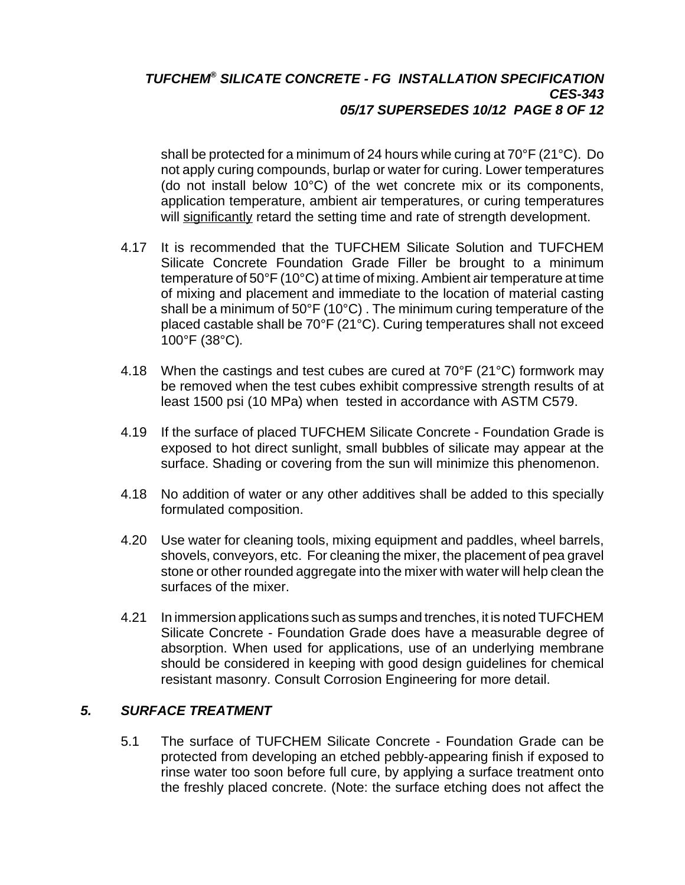## *TUFCHEM® SILICATE CONCRETE - FG INSTALLATION SPECIFICATION CES-343 05/17 SUPERSEDES 10/12 PAGE 8 OF 12*

shall be protected for a minimum of 24 hours while curing at 70°F (21°C). Do not apply curing compounds, burlap or water for curing. Lower temperatures (do not install below 10°C) of the wet concrete mix or its components, application temperature, ambient air temperatures, or curing temperatures will significantly retard the setting time and rate of strength development.

- 4.17 It is recommended that the TUFCHEM Silicate Solution and TUFCHEM Silicate Concrete Foundation Grade Filler be brought to a minimum temperature of 50°F (10°C) at time of mixing. Ambient air temperature at time of mixing and placement and immediate to the location of material casting shall be a minimum of 50°F (10°C) . The minimum curing temperature of the placed castable shall be 70°F (21°C). Curing temperatures shall not exceed 100°F (38°C)*.*
- 4.18 When the castings and test cubes are cured at 70°F (21°C) formwork may be removed when the test cubes exhibit compressive strength results of at least 1500 psi (10 MPa) when tested in accordance with ASTM C579.
- 4.19 If the surface of placed TUFCHEM Silicate Concrete Foundation Grade is exposed to hot direct sunlight, small bubbles of silicate may appear at the surface. Shading or covering from the sun will minimize this phenomenon.
- 4.18 No addition of water or any other additives shall be added to this specially formulated composition.
- 4.20 Use water for cleaning tools, mixing equipment and paddles, wheel barrels, shovels, conveyors, etc. For cleaning the mixer, the placement of pea gravel stone or other rounded aggregate into the mixer with water will help clean the surfaces of the mixer.
- 4.21 In immersion applications such as sumps and trenches, it is noted TUFCHEM Silicate Concrete - Foundation Grade does have a measurable degree of absorption. When used for applications, use of an underlying membrane should be considered in keeping with good design guidelines for chemical resistant masonry. Consult Corrosion Engineering for more detail.

#### *5. SURFACE TREATMENT*

5.1 The surface of TUFCHEM Silicate Concrete - Foundation Grade can be protected from developing an etched pebbly-appearing finish if exposed to rinse water too soon before full cure, by applying a surface treatment onto the freshly placed concrete. (Note: the surface etching does not affect the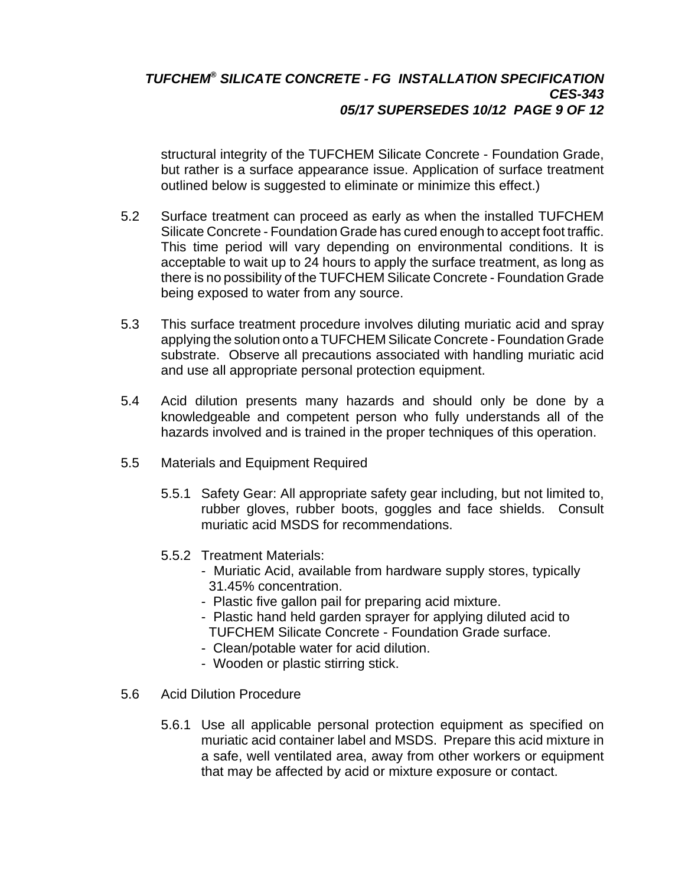## *TUFCHEM® SILICATE CONCRETE - FG INSTALLATION SPECIFICATION CES-343 05/17 SUPERSEDES 10/12 PAGE 9 OF 12*

structural integrity of the TUFCHEM Silicate Concrete - Foundation Grade, but rather is a surface appearance issue. Application of surface treatment outlined below is suggested to eliminate or minimize this effect.)

- 5.2 Surface treatment can proceed as early as when the installed TUFCHEM Silicate Concrete - Foundation Grade has cured enough to accept foot traffic. This time period will vary depending on environmental conditions. It is acceptable to wait up to 24 hours to apply the surface treatment, as long as there is no possibility of the TUFCHEM Silicate Concrete - Foundation Grade being exposed to water from any source.
- 5.3 This surface treatment procedure involves diluting muriatic acid and spray applying the solution onto a TUFCHEM Silicate Concrete - Foundation Grade substrate. Observe all precautions associated with handling muriatic acid and use all appropriate personal protection equipment.
- 5.4 Acid dilution presents many hazards and should only be done by a knowledgeable and competent person who fully understands all of the hazards involved and is trained in the proper techniques of this operation.
- 5.5 Materials and Equipment Required
	- 5.5.1 Safety Gear: All appropriate safety gear including, but not limited to, rubber gloves, rubber boots, goggles and face shields. Consult muriatic acid MSDS for recommendations.
	- 5.5.2 Treatment Materials:
		- Muriatic Acid, available from hardware supply stores, typically 31.45% concentration.
		- Plastic five gallon pail for preparing acid mixture.
		- Plastic hand held garden sprayer for applying diluted acid to TUFCHEM Silicate Concrete - Foundation Grade surface.
		- Clean/potable water for acid dilution.
		- Wooden or plastic stirring stick.
- 5.6 Acid Dilution Procedure
	- 5.6.1 Use all applicable personal protection equipment as specified on muriatic acid container label and MSDS. Prepare this acid mixture in a safe, well ventilated area, away from other workers or equipment that may be affected by acid or mixture exposure or contact.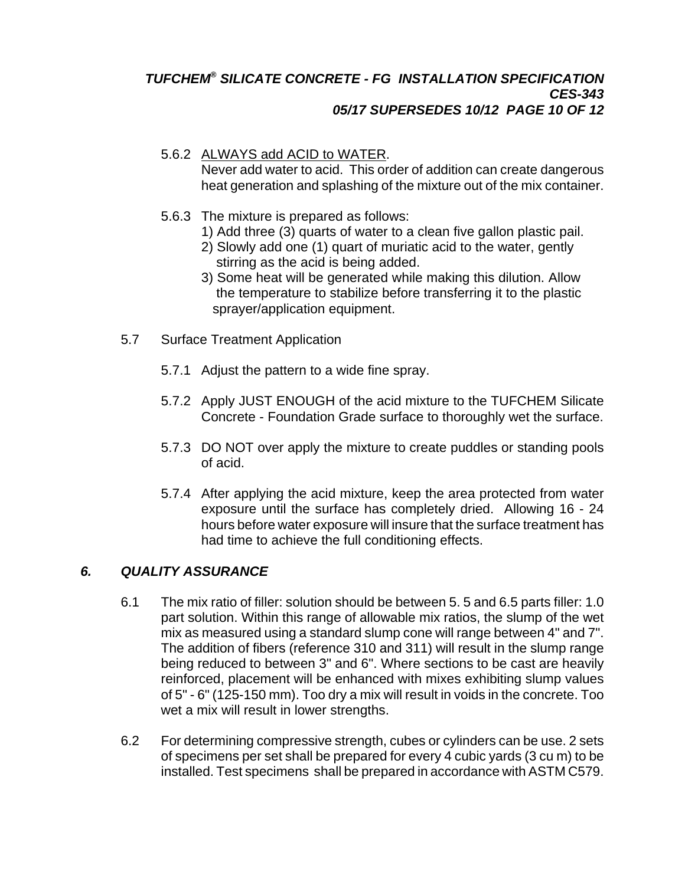#### *TUFCHEM® SILICATE CONCRETE - FG INSTALLATION SPECIFICATION CES-343 05/17 SUPERSEDES 10/12 PAGE 10 OF 12*

# 5.6.2 ALWAYS add ACID to WATER.

Never add water to acid. This order of addition can create dangerous heat generation and splashing of the mixture out of the mix container.

- 5.6.3 The mixture is prepared as follows:
	- 1) Add three (3) quarts of water to a clean five gallon plastic pail.
	- 2) Slowly add one (1) quart of muriatic acid to the water, gently stirring as the acid is being added.
	- 3) Some heat will be generated while making this dilution. Allow the temperature to stabilize before transferring it to the plastic sprayer/application equipment.
- 5.7 Surface Treatment Application
	- 5.7.1 Adjust the pattern to a wide fine spray.
	- 5.7.2 Apply JUST ENOUGH of the acid mixture to the TUFCHEM Silicate Concrete - Foundation Grade surface to thoroughly wet the surface.
	- 5.7.3 DO NOT over apply the mixture to create puddles or standing pools of acid.
	- 5.7.4 After applying the acid mixture, keep the area protected from water exposure until the surface has completely dried. Allowing 16 - 24 hours before water exposure will insure that the surface treatment has had time to achieve the full conditioning effects.

# *6. QUALITY ASSURANCE*

- 6.1 The mix ratio of filler: solution should be between 5. 5 and 6.5 parts filler: 1.0 part solution. Within this range of allowable mix ratios, the slump of the wet mix as measured using a standard slump cone will range between 4" and 7". The addition of fibers (reference 310 and 311) will result in the slump range being reduced to between 3" and 6". Where sections to be cast are heavily reinforced, placement will be enhanced with mixes exhibiting slump values of 5" - 6" (125-150 mm). Too dry a mix will result in voids in the concrete. Too wet a mix will result in lower strengths.
- 6.2 For determining compressive strength, cubes or cylinders can be use. 2 sets of specimens per set shall be prepared for every 4 cubic yards (3 cu m) to be installed. Test specimens shall be prepared in accordance with ASTM C579.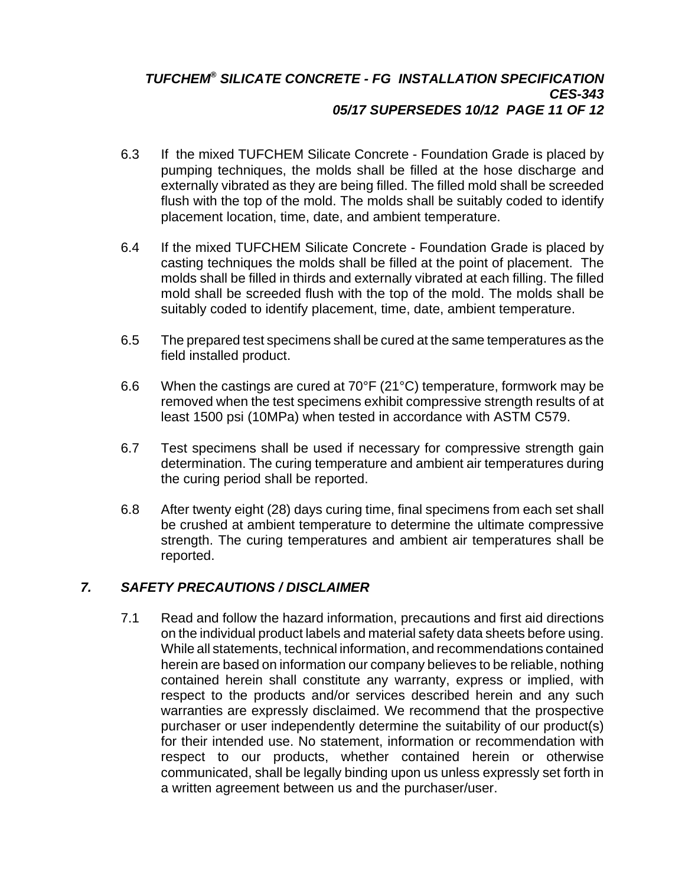### *TUFCHEM® SILICATE CONCRETE - FG INSTALLATION SPECIFICATION CES-343 05/17 SUPERSEDES 10/12 PAGE 11 OF 12*

- 6.3 If the mixed TUFCHEM Silicate Concrete Foundation Grade is placed by pumping techniques, the molds shall be filled at the hose discharge and externally vibrated as they are being filled. The filled mold shall be screeded flush with the top of the mold. The molds shall be suitably coded to identify placement location, time, date, and ambient temperature.
- 6.4 If the mixed TUFCHEM Silicate Concrete Foundation Grade is placed by casting techniques the molds shall be filled at the point of placement. The molds shall be filled in thirds and externally vibrated at each filling. The filled mold shall be screeded flush with the top of the mold. The molds shall be suitably coded to identify placement, time, date, ambient temperature.
- 6.5 The prepared test specimens shall be cured at the same temperatures as the field installed product.
- 6.6 When the castings are cured at  $70^{\circ}F(21^{\circ}C)$  temperature, formwork may be removed when the test specimens exhibit compressive strength results of at least 1500 psi (10MPa) when tested in accordance with ASTM C579.
- 6.7 Test specimens shall be used if necessary for compressive strength gain determination. The curing temperature and ambient air temperatures during the curing period shall be reported.
- 6.8 After twenty eight (28) days curing time, final specimens from each set shall be crushed at ambient temperature to determine the ultimate compressive strength. The curing temperatures and ambient air temperatures shall be reported.

# *7. SAFETY PRECAUTIONS / DISCLAIMER*

7.1 Read and follow the hazard information, precautions and first aid directions on the individual product labels and material safety data sheets before using. While all statements, technical information, and recommendations contained herein are based on information our company believes to be reliable, nothing contained herein shall constitute any warranty, express or implied, with respect to the products and/or services described herein and any such warranties are expressly disclaimed. We recommend that the prospective purchaser or user independently determine the suitability of our product(s) for their intended use. No statement, information or recommendation with respect to our products, whether contained herein or otherwise communicated, shall be legally binding upon us unless expressly set forth in a written agreement between us and the purchaser/user.